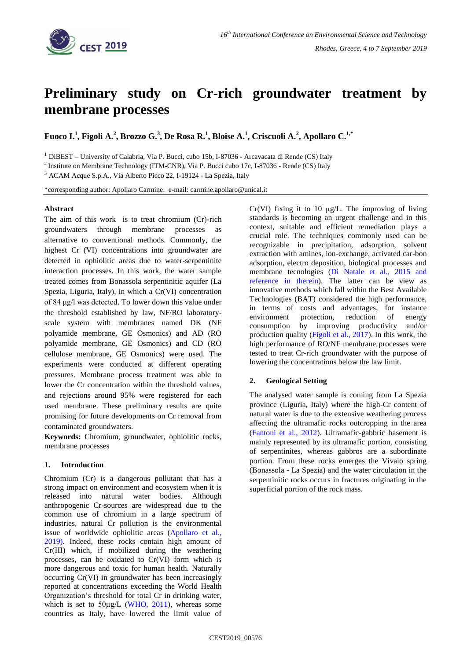

# **Preliminary study on Cr-rich groundwater treatment by membrane processes**

**Fuoco I.<sup>1</sup> , Figoli A.<sup>2</sup> , Brozzo G.<sup>3</sup> , De Rosa R.<sup>1</sup> , Bloise A.<sup>1</sup> , Criscuoli A.<sup>2</sup> , Apollaro C.1,\***

<sup>1</sup> DiBEST – University of Calabria, Via P. Bucci, cubo 15b, I-87036 - Arcavacata di Rende (CS) Italy

<sup>2</sup> Institute on Membrane Technology (ITM-CNR), Via P. Bucci cubo 17c, I-87036 - Rende (CS) Italy

<sup>3</sup> ACAM Acque S.p.A., Via Alberto Picco 22, I-19124 - La Spezia, Italy

\*corresponding author: Apollaro Carmine: e-mail: carmine.apollaro@unical.it

#### **Abstract**

The aim of this work is to treat chromium (Cr)-rich groundwaters through membrane processes as alternative to conventional methods. Commonly, the highest Cr (VI) concentrations into groundwater are detected in ophiolitic areas due to water-serpentinite interaction processes. In this work, the water sample treated comes from Bonassola serpentinitic aquifer (La Spezia, Liguria, Italy), in which a Cr(VI) concentration of 84 μg/l was detected. To lower down this value under the threshold established by law, NF/RO laboratoryscale system with membranes named DK (NF polyamide membrane, GE Osmonics) and AD (RO polyamide membrane, GE Osmonics) and CD (RO cellulose membrane, GE Osmonics) were used. The experiments were conducted at different operating pressures. Membrane process treatment was able to lower the Cr concentration within the threshold values, and rejections around 95% were registered for each used membrane. These preliminary results are quite promising for future developments on Cr removal from contaminated groundwaters.

**Keywords:** Chromium, groundwater, ophiolitic rocks, membrane processes

#### **1. Introduction**

Chromium (Cr) is a dangerous pollutant that has a strong impact on environment and ecosystem when it is released into natural water bodies. Although anthropogenic Cr-sources are widespread due to the common use of chromium in a large spectrum of industries, natural Cr pollution is the environmental issue of worldwide ophiolitic areas (Apollaro et al., 2019). Indeed, these rocks contain high amount of Cr(III) which, if mobilized during the weathering processes, can be oxidated to Cr(VI) form which is more dangerous and toxic for human health. Naturally occurring Cr(VI) in groundwater has been increasingly reported at concentrations exceeding the World Health Organization's threshold for total Cr in drinking water, which is set to  $50\mu g/L$  (WHO, 2011), whereas some countries as Italy, have lowered the limit value of Cr(VI) fixing it to 10  $\mu$ g/L. The improving of living standards is becoming an urgent challenge and in this context, suitable and efficient remediation plays a crucial role. The techniques commonly used can be recognizable in precipitation, adsorption, solvent extraction with amines, ion-exchange, activated car-bon adsorption, electro deposition, biological processes and membrane tecnologies (Di Natale et al., 2015 and reference in therein). The latter can be view as innovative methods which fall within the Best Available Technologies (BAT) considered the high performance, in terms of costs and advantages, for instance environment protection, reduction of energy consumption by improving productivity and/or production quality (Figoli et al., 2017). In this work, the high performance of RO/NF membrane processes were tested to treat Cr-rich groundwater with the purpose of lowering the concentrations below the law limit.

# **2. Geological Setting**

The analysed water sample is coming from La Spezia province (Liguria, Italy) where the high-Cr content of natural water is due to the extensive weathering process affecting the ultramafic rocks outcropping in the area (Fantoni et al., 2012). Ultramafic-gabbric basement is mainly represented by its ultramafic portion, consisting of serpentinites, whereas gabbros are a subordinate portion. From these rocks emerges the Vivaio spring (Bonassola - La Spezia) and the water circulation in the serpentinitic rocks occurs in fractures originating in the superficial portion of the rock mass.